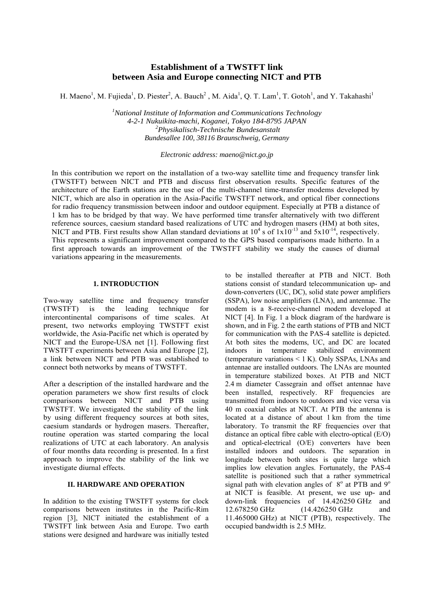# **Establishment of a TWSTFT link between Asia and Europe connecting NICT and PTB**

H. Maeno<sup>1</sup>, M. Fujieda<sup>1</sup>, D. Piester<sup>2</sup>, A. Bauch<sup>2</sup>, M. Aida<sup>1</sup>, Q. T. Lam<sup>1</sup>, T. Gotoh<sup>1</sup>, and Y. Takahashi<sup>1</sup>

*1 National Institute of Information and Communications Technology 4-2-1 Nukuikita-machi, Koganei, Tokyo 184-8795 JAPAN 2 Physikalisch-Technische Bundesanstalt Bundesallee 100, 38116 Braunschweig, Germany* 

*Electronic address: maeno@nict.go.jp* 

In this contribution we report on the installation of a two-way satellite time and frequency transfer link (TWSTFT) between NICT and PTB and discuss first observation results. Specific features of the architecture of the Earth stations are the use of the multi-channel time-transfer modems developed by NICT, which are also in operation in the Asia-Pacific TWSTFT network, and optical fiber connections for radio frequency transmission between indoor and outdoor equipment. Especially at PTB a distance of 1 km has to be bridged by that way. We have performed time transfer alternatively with two different reference sources, caesium standard based realizations of UTC and hydrogen masers (HM) at both sites, NICT and PTB. First results show Allan standard deviations at  $10^4$  s of  $1 \times 10^{-13}$  and  $5 \times 10^{-14}$ , respectively. This represents a significant improvement compared to the GPS based comparisons made hitherto. In a first approach towards an improvement of the TWSTFT stability we study the causes of diurnal variations appearing in the measurements.

# **1. INTRODUCTION**

Two-way satellite time and frequency transfer (TWSTFT) is the leading technique for intercontinental comparisons of time scales. At present, two networks employing TWSTFT exist worldwide, the Asia-Pacific net which is operated by NICT and the Europe-USA net [1]. Following first TWSTFT experiments between Asia and Europe [2], a link between NICT and PTB was established to connect both networks by means of TWSTFT.

After a description of the installed hardware and the operation parameters we show first results of clock comparisons between NICT and PTB using TWSTFT. We investigated the stability of the link by using different frequency sources at both sites, caesium standards or hydrogen masers. Thereafter, routine operation was started comparing the local realizations of UTC at each laboratory. An analysis of four months data recording is presented. In a first approach to improve the stability of the link we investigate diurnal effects.

# **II. HARDWARE AND OPERATION**

In addition to the existing TWSTFT systems for clock comparisons between institutes in the Pacific-Rim region [3], NICT initiated the establishment of a TWSTFT link between Asia and Europe. Two earth stations were designed and hardware was initially tested to be installed thereafter at PTB and NICT. Both stations consist of standard telecommunication up- and down-converters (UC, DC), solid state power amplifiers (SSPA), low noise amplifiers (LNA), and antennae. The modem is a 8-receive-channel modem developed at NICT [4]. In Fig. 1 a block diagram of the hardware is shown, and in Fig. 2 the earth stations of PTB and NICT for communication with the PAS-4 satellite is depicted. At both sites the modems, UC, and DC are located indoors in temperature stabilized environment (temperature variations < 1 K). Only SSPAs, LNAs and antennae are installed outdoors. The LNAs are mounted in temperature stabilized boxes. At PTB and NICT 2.4 m diameter Cassegrain and offset antennae have been installed, respectively. RF frequencies are transmitted from indoors to outdoors and vice versa via 40 m coaxial cables at NICT. At PTB the antenna is located at a distance of about 1 km from the time laboratory. To transmit the RF frequencies over that distance an optical fibre cable with electro-optical (E/O) and optical-electrical (O/E) converters have been installed indoors and outdoors. The separation in longitude between both sites is quite large which implies low elevation angles. Fortunately, the PAS-4 satellite is positioned such that a rather symmetrical signal path with elevation angles of  $8^\circ$  at PTB and  $9^\circ$ at NICT is feasible. At present, we use up- and down-link frequencies of 14.426250 GHz and 12.678250 GHz (14.426250 GHz and 11.465000 GHz) at NICT (PTB), respectively. The occupied bandwidth is 2.5 MHz.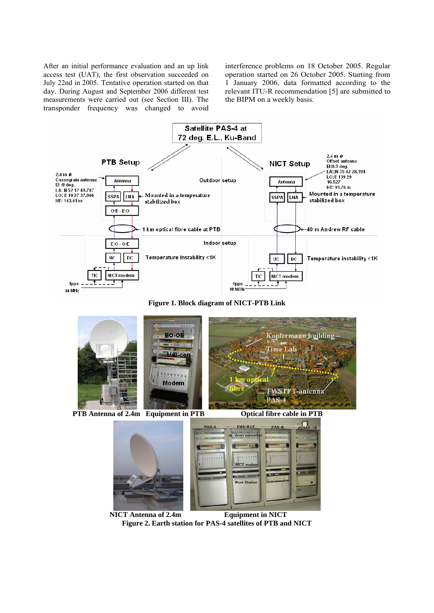After an initial performance evaluation and an up link access test (UAT), the first observation succeeded on July 22nd in 2005. Tentative operation started on that day. During August and September 2006 different test measurements were carried out (see Section III). The transponder frequency was changed to avoid interference problems on 18 October 2005. Regular operation started on 26 October 2005. Starting from 1 January 2006, data formatted according to the relevant ITU-R recommendation [5] are submitted to the BIPM on a weekly basis.



**Figure 1. Block diagram of NICT-PTB Link** 



**PTB Antenna of 2.4m Equipment in PTB Optical fibre cable in PTB** 





 **NICT Antenna of 2.4m Equipment in NICT Figure 2. Earth station for PAS-4 satellites of PTB and NICT**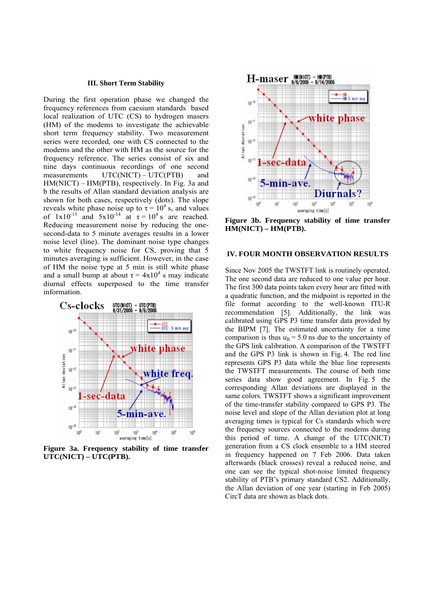#### **III. Short Term Stability**

During the first operation phase we changed the frequency references from caesium standards based local realization of UTC (CS) to hydrogen masers (HM) of the modems to investigate the achievable short term frequency stability. Two measurement series were recorded, one with CS connected to the modems and the other with HM as the source for the frequency reference. The series consist of six and nine days continuous recordings of one second measurements UTC(NICT) – UTC(PTB) and HM(NICT) – HM(PTB), respectively. In Fig. 3a and b the results of Allan standard deviation analysis are shown for both cases, respectively (dots). The slope reveals white phase noise up to  $\tau = 10^4$  s, and values of  $1x10^{-13}$  and  $5x10^{-14}$  at  $\tau = 10^4$  s are reached. Reducing measurement noise by reducing the onesecond-data to 5 minute averages results in a lower noise level (line). The dominant noise type changes to white frequency noise for CS, proving that 5 minutes averaging is sufficient. However, in the case of HM the noise type at 5 min is still white phase and a small bump at about  $\tau = 4x10^4$  s may indicate diurnal effects superposed to the time transfer information.



**Figure 3a. Frequency stability of time transfer UTC(NICT) – UTC(PTB).** 



**Figure 3b. Frequency stability of time transfer HM(NICT) – HM(PTB).** 

# **IV. FOUR MONTH OBSERVATION RESULTS**

Since Nov 2005 the TWSTFT link is routinely operated. The one second data are reduced to one value per hour. The first 300 data points taken every hour are fitted with a quadratic function, and the midpoint is reported in the file format according to the well-known ITU-R recommendation [5]. Additionally, the link was calibrated using GPS P3 time transfer data provided by the BIPM [7]. The estimated uncertainty for a time comparison is thus  $u<sub>B</sub> = 5.0$  ns due to the uncertainty of the GPS link calibration. A comparison of the TWSTFT and the GPS P3 link is shown in Fig. 4. The red line represents GPS P3 data while the blue line represents the TWSTFT measurements. The course of both time series data show good agreement. In Fig. 5 the corresponding Allan deviations are displayed in the same colors. TWSTFT shows a significant improvement of the time-transfer stability compared to GPS P3. The noise level and slope of the Allan deviation plot at long averaging times is typical for Cs standards which were the frequency sources connected to the modems during this period of time. A change of the UTC(NICT) generation from a CS clock ensemble to a HM steered in frequency happened on 7 Feb 2006. Data taken afterwards (black crosses) reveal a reduced noise, and one can see the typical shot-noise limited frequency stability of PTB's primary standard CS2. Additionally, the Allan deviation of one year (starting in Feb 2005) CircT data are shown as black dots.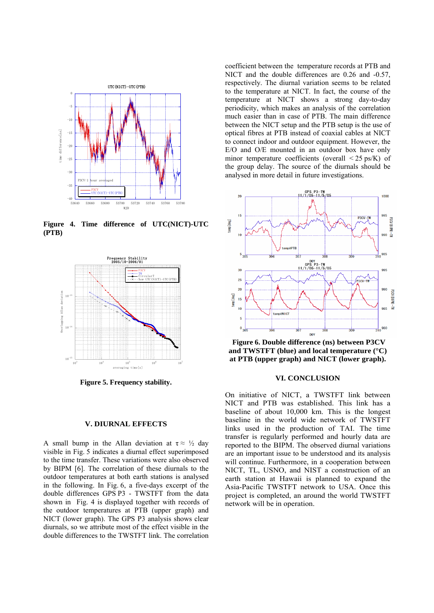

**Figure 4. Time difference of UTC(NICT)-UTC (PTB)** 



**Figure 5. Frequency stability.**

#### **V. DIURNAL EFFECTS**

A small bump in the Allan deviation at  $\tau \approx \frac{1}{2}$  day visible in Fig. 5 indicates a diurnal effect superimposed to the time transfer. These variations were also observed by BIPM [6]. The correlation of these diurnals to the outdoor temperatures at both earth stations is analysed in the following. In Fig. 6, a five-days excerpt of the double differences GPS P3 - TWSTFT from the data shown in Fig. 4 is displayed together with records of the outdoor temperatures at PTB (upper graph) and NICT (lower graph). The GPS P3 analysis shows clear diurnals, so we attribute most of the effect visible in the double differences to the TWSTFT link. The correlation

coefficient between the temperature records at PTB and NICT and the double differences are 0.26 and -0.57, respectively. The diurnal variation seems to be related to the temperature at NICT. In fact, the course of the temperature at NICT shows a strong day-to-day periodicity, which makes an analysis of the correlation much easier than in case of PTB. The main difference between the NICT setup and the PTB setup is the use of optical fibres at PTB instead of coaxial cables at NICT to connect indoor and outdoor equipment. However, the E/O and O/E mounted in an outdoor box have only minor temperature coefficients (overall  $\leq$  25 ps/K) of the group delay. The source of the diurnals should be analysed in more detail in future investigations.



**and TWSTFT (blue) and local temperature (°C)**   $\frac{10^{-15}}{10^5}$  at PTB (upper graph) and NICT (lower graph). **Figure 6. Double difference (ns) between P3CV** 

# **VI. CONCLUSION**

On initiative of NICT, a TWSTFT link between NICT and PTB was established. This link has a baseline of about 10,000 km. This is the longest baseline in the world wide network of TWSTFT links used in the production of TAI. The time transfer is regularly performed and hourly data are reported to the BIPM. The observed diurnal variations are an important issue to be understood and its analysis will continue. Furthermore, in a cooperation between NICT, TL, USNO, and NIST a construction of an earth station at Hawaii is planned to expand the Asia-Pacific TWSTFT network to USA. Once this project is completed, an around the world TWSTFT network will be in operation.